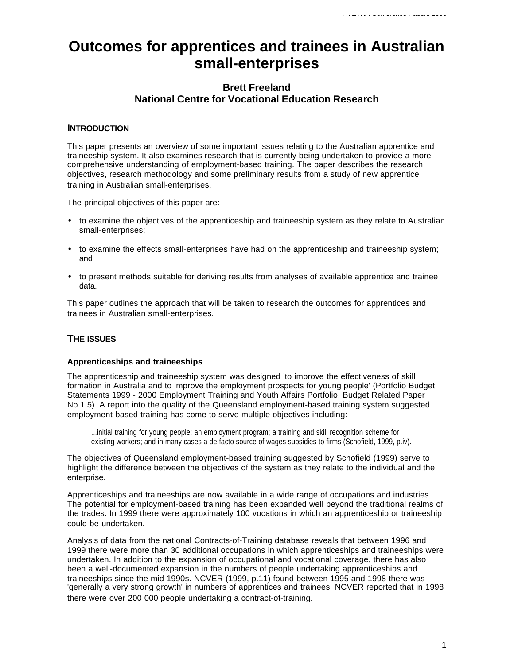# **Outcomes for apprentices and trainees in Australian small-enterprises**

# **Brett Freeland National Centre for Vocational Education Research**

## **INTRODUCTION**

This paper presents an overview of some important issues relating to the Australian apprentice and traineeship system. It also examines research that is currently being undertaken to provide a more comprehensive understanding of employment-based training. The paper describes the research objectives, research methodology and some preliminary results from a study of new apprentice training in Australian small-enterprises.

The principal objectives of this paper are:

- to examine the objectives of the apprenticeship and traineeship system as they relate to Australian small-enterprises;
- to examine the effects small-enterprises have had on the apprenticeship and traineeship system; and
- to present methods suitable for deriving results from analyses of available apprentice and trainee data.

This paper outlines the approach that will be taken to research the outcomes for apprentices and trainees in Australian small-enterprises.

# **THE ISSUES**

#### **Apprenticeships and traineeships**

The apprenticeship and traineeship system was designed 'to improve the effectiveness of skill formation in Australia and to improve the employment prospects for young people' (Portfolio Budget Statements 1999 - 2000 Employment Training and Youth Affairs Portfolio, Budget Related Paper No.1.5). A report into the quality of the Queensland employment-based training system suggested employment-based training has come to serve multiple objectives including:

...initial training for young people; an employment program; a training and skill recognition scheme for existing workers; and in many cases a de facto source of wages subsidies to firms (Schofield, 1999, p.iv).

The objectives of Queensland employment-based training suggested by Schofield (1999) serve to highlight the difference between the objectives of the system as they relate to the individual and the enterprise.

Apprenticeships and traineeships are now available in a wide range of occupations and industries. The potential for employment-based training has been expanded well beyond the traditional realms of the trades. In 1999 there were approximately 100 vocations in which an apprenticeship or traineeship could be undertaken.

Analysis of data from the national Contracts-of-Training database reveals that between 1996 and 1999 there were more than 30 additional occupations in which apprenticeships and traineeships were undertaken. In addition to the expansion of occupational and vocational coverage, there has also been a well-documented expansion in the numbers of people undertaking apprenticeships and traineeships since the mid 1990s. NCVER (1999, p.11) found between 1995 and 1998 there was 'generally a very strong growth' in numbers of apprentices and trainees. NCVER reported that in 1998 there were over 200 000 people undertaking a contract-of-training.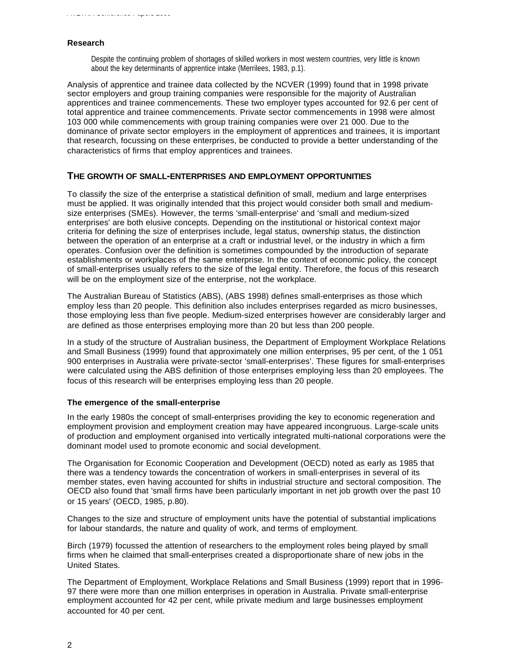#### **Research**

Despite the continuing problem of shortages of skilled workers in most western countries, very little is known about the key determinants of apprentice intake (Merrilees, 1983, p.1).

Analysis of apprentice and trainee data collected by the NCVER (1999) found that in 1998 private sector employers and group training companies were responsible for the majority of Australian apprentices and trainee commencements. These two employer types accounted for 92.6 per cent of total apprentice and trainee commencements. Private sector commencements in 1998 were almost 103 000 while commencements with group training companies were over 21 000. Due to the dominance of private sector employers in the employment of apprentices and trainees, it is important that research, focussing on these enterprises, be conducted to provide a better understanding of the characteristics of firms that employ apprentices and trainees.

#### **THE GROWTH OF SMALL-ENTERPRISES AND EMPLOYMENT OPPORTUNITIES**

To classify the size of the enterprise a statistical definition of small, medium and large enterprises must be applied. It was originally intended that this project would consider both small and mediumsize enterprises (SMEs). However, the terms 'small-enterprise' and 'small and medium-sized enterprises' are both elusive concepts. Depending on the institutional or historical context major criteria for defining the size of enterprises include, legal status, ownership status, the distinction between the operation of an enterprise at a craft or industrial level, or the industry in which a firm operates. Confusion over the definition is sometimes compounded by the introduction of separate establishments or workplaces of the same enterprise. In the context of economic policy, the concept of small-enterprises usually refers to the size of the legal entity. Therefore, the focus of this research will be on the employment size of the enterprise, not the workplace.

The Australian Bureau of Statistics (ABS), (ABS 1998) defines small-enterprises as those which employ less than 20 people. This definition also includes enterprises regarded as micro businesses, those employing less than five people. Medium-sized enterprises however are considerably larger and are defined as those enterprises employing more than 20 but less than 200 people.

In a study of the structure of Australian business, the Department of Employment Workplace Relations and Small Business (1999) found that approximately one million enterprises, 95 per cent, of the 1 051 900 enterprises in Australia were private-sector 'small-enterprises'. These figures for small-enterprises were calculated using the ABS definition of those enterprises employing less than 20 employees. The focus of this research will be enterprises employing less than 20 people.

#### **The emergence of the small-enterprise**

In the early 1980s the concept of small-enterprises providing the key to economic regeneration and employment provision and employment creation may have appeared incongruous. Large-scale units of production and employment organised into vertically integrated multi-national corporations were the dominant model used to promote economic and social development.

The Organisation for Economic Cooperation and Development (OECD) noted as early as 1985 that there was a tendency towards the concentration of workers in small-enterprises in several of its member states, even having accounted for shifts in industrial structure and sectoral composition. The OECD also found that 'small firms have been particularly important in net job growth over the past 10 or 15 years' (OECD, 1985, p.80).

Changes to the size and structure of employment units have the potential of substantial implications for labour standards, the nature and quality of work, and terms of employment.

Birch (1979) focussed the attention of researchers to the employment roles being played by small firms when he claimed that small-enterprises created a disproportionate share of new jobs in the United States.

The Department of Employment, Workplace Relations and Small Business (1999) report that in 1996- 97 there were more than one million enterprises in operation in Australia. Private small-enterprise employment accounted for 42 per cent, while private medium and large businesses employment accounted for 40 per cent.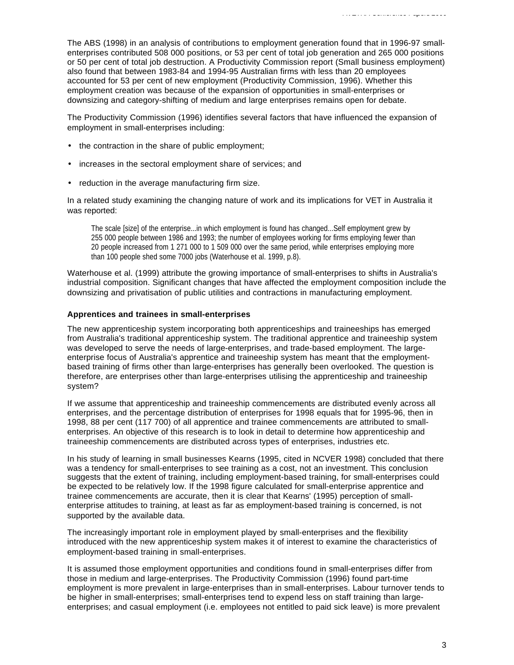The ABS (1998) in an analysis of contributions to employment generation found that in 1996-97 smallenterprises contributed 508 000 positions, or 53 per cent of total job generation and 265 000 positions or 50 per cent of total job destruction. A Productivity Commission report (Small business employment) also found that between 1983-84 and 1994-95 Australian firms with less than 20 employees accounted for 53 per cent of new employment (Productivity Commission, 1996). Whether this employment creation was because of the expansion of opportunities in small-enterprises or downsizing and category-shifting of medium and large enterprises remains open for debate.

The Productivity Commission (1996) identifies several factors that have influenced the expansion of employment in small-enterprises including:

- the contraction in the share of public employment;
- increases in the sectoral employment share of services; and
- reduction in the average manufacturing firm size.

In a related study examining the changing nature of work and its implications for VET in Australia it was reported:

The scale [size] of the enterprise...in which employment is found has changed...Self employment grew by 255 000 people between 1986 and 1993; the number of employees working for firms employing fewer than 20 people increased from 1 271 000 to 1 509 000 over the same period, while enterprises employing more than 100 people shed some 7000 jobs (Waterhouse et al. 1999, p.8).

Waterhouse et al. (1999) attribute the growing importance of small-enterprises to shifts in Australia's industrial composition. Significant changes that have affected the employment composition include the downsizing and privatisation of public utilities and contractions in manufacturing employment.

#### **Apprentices and trainees in small-enterprises**

The new apprenticeship system incorporating both apprenticeships and traineeships has emerged from Australia's traditional apprenticeship system. The traditional apprentice and traineeship system was developed to serve the needs of large-enterprises, and trade-based employment. The largeenterprise focus of Australia's apprentice and traineeship system has meant that the employmentbased training of firms other than large-enterprises has generally been overlooked. The question is therefore, are enterprises other than large-enterprises utilising the apprenticeship and traineeship system?

If we assume that apprenticeship and traineeship commencements are distributed evenly across all enterprises, and the percentage distribution of enterprises for 1998 equals that for 1995-96, then in 1998, 88 per cent (117 700) of all apprentice and trainee commencements are attributed to smallenterprises. An objective of this research is to look in detail to determine how apprenticeship and traineeship commencements are distributed across types of enterprises, industries etc.

In his study of learning in small businesses Kearns (1995, cited in NCVER 1998) concluded that there was a tendency for small-enterprises to see training as a cost, not an investment. This conclusion suggests that the extent of training, including employment-based training, for small-enterprises could be expected to be relatively low. If the 1998 figure calculated for small-enterprise apprentice and trainee commencements are accurate, then it is clear that Kearns' (1995) perception of smallenterprise attitudes to training, at least as far as employment-based training is concerned, is not supported by the available data.

The increasingly important role in employment played by small-enterprises and the flexibility introduced with the new apprenticeship system makes it of interest to examine the characteristics of employment-based training in small-enterprises.

It is assumed those employment opportunities and conditions found in small-enterprises differ from those in medium and large-enterprises. The Productivity Commission (1996) found part-time employment is more prevalent in large-enterprises than in small-enterprises. Labour turnover tends to be higher in small-enterprises; small-enterprises tend to expend less on staff training than largeenterprises; and casual employment (i.e. employees not entitled to paid sick leave) is more prevalent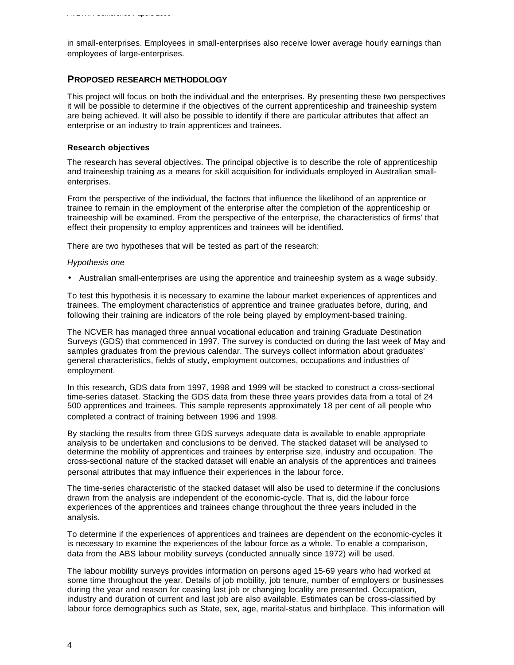in small-enterprises. Employees in small-enterprises also receive lower average hourly earnings than employees of large-enterprises.

### **PROPOSED RESEARCH METHODOLOGY**

This project will focus on both the individual and the enterprises. By presenting these two perspectives it will be possible to determine if the objectives of the current apprenticeship and traineeship system are being achieved. It will also be possible to identify if there are particular attributes that affect an enterprise or an industry to train apprentices and trainees.

#### **Research objectives**

The research has several objectives. The principal objective is to describe the role of apprenticeship and traineeship training as a means for skill acquisition for individuals employed in Australian smallenterprises.

From the perspective of the individual, the factors that influence the likelihood of an apprentice or trainee to remain in the employment of the enterprise after the completion of the apprenticeship or traineeship will be examined. From the perspective of the enterprise, the characteristics of firms' that effect their propensity to employ apprentices and trainees will be identified.

There are two hypotheses that will be tested as part of the research:

#### *Hypothesis one*

• Australian small-enterprises are using the apprentice and traineeship system as a wage subsidy.

To test this hypothesis it is necessary to examine the labour market experiences of apprentices and trainees. The employment characteristics of apprentice and trainee graduates before, during, and following their training are indicators of the role being played by employment-based training.

The NCVER has managed three annual vocational education and training Graduate Destination Surveys (GDS) that commenced in 1997. The survey is conducted on during the last week of May and samples graduates from the previous calendar. The surveys collect information about graduates' general characteristics, fields of study, employment outcomes, occupations and industries of employment.

In this research, GDS data from 1997, 1998 and 1999 will be stacked to construct a cross-sectional time-series dataset. Stacking the GDS data from these three years provides data from a total of 24 500 apprentices and trainees. This sample represents approximately 18 per cent of all people who completed a contract of training between 1996 and 1998.

By stacking the results from three GDS surveys adequate data is available to enable appropriate analysis to be undertaken and conclusions to be derived. The stacked dataset will be analysed to determine the mobility of apprentices and trainees by enterprise size, industry and occupation. The cross-sectional nature of the stacked dataset will enable an analysis of the apprentices and trainees personal attributes that may influence their experiences in the labour force.

The time-series characteristic of the stacked dataset will also be used to determine if the conclusions drawn from the analysis are independent of the economic-cycle. That is, did the labour force experiences of the apprentices and trainees change throughout the three years included in the analysis.

To determine if the experiences of apprentices and trainees are dependent on the economic-cycles it is necessary to examine the experiences of the labour force as a whole. To enable a comparison, data from the ABS labour mobility surveys (conducted annually since 1972) will be used.

The labour mobility surveys provides information on persons aged 15-69 years who had worked at some time throughout the year. Details of job mobility, job tenure, number of employers or businesses during the year and reason for ceasing last job or changing locality are presented. Occupation, industry and duration of current and last job are also available. Estimates can be cross-classified by labour force demographics such as State, sex, age, marital-status and birthplace. This information will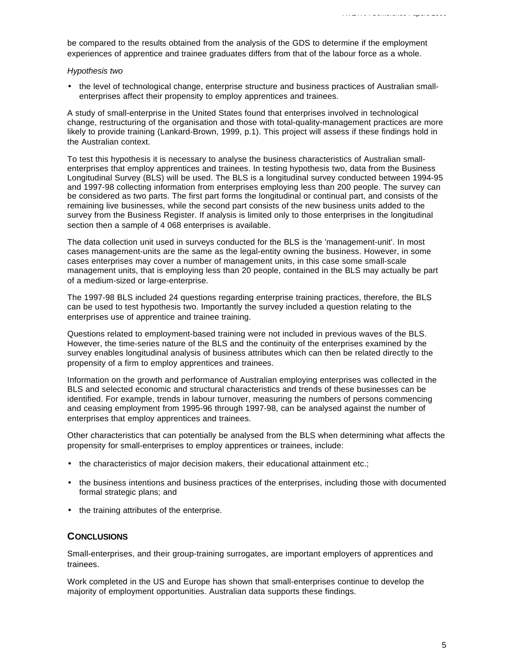be compared to the results obtained from the analysis of the GDS to determine if the employment experiences of apprentice and trainee graduates differs from that of the labour force as a whole.

#### *Hypothesis two*

• the level of technological change, enterprise structure and business practices of Australian smallenterprises affect their propensity to employ apprentices and trainees.

A study of small-enterprise in the United States found that enterprises involved in technological change, restructuring of the organisation and those with total-quality-management practices are more likely to provide training (Lankard-Brown, 1999, p.1). This project will assess if these findings hold in the Australian context.

To test this hypothesis it is necessary to analyse the business characteristics of Australian smallenterprises that employ apprentices and trainees. In testing hypothesis two, data from the Business Longitudinal Survey (BLS) will be used. The BLS is a longitudinal survey conducted between 1994-95 and 1997-98 collecting information from enterprises employing less than 200 people. The survey can be considered as two parts. The first part forms the longitudinal or continual part, and consists of the remaining live businesses, while the second part consists of the new business units added to the survey from the Business Register. If analysis is limited only to those enterprises in the longitudinal section then a sample of 4 068 enterprises is available.

The data collection unit used in surveys conducted for the BLS is the 'management-unit'. In most cases management-units are the same as the legal-entity owning the business. However, in some cases enterprises may cover a number of management units, in this case some small-scale management units, that is employing less than 20 people, contained in the BLS may actually be part of a medium-sized or large-enterprise.

The 1997-98 BLS included 24 questions regarding enterprise training practices, therefore, the BLS can be used to test hypothesis two. Importantly the survey included a question relating to the enterprises use of apprentice and trainee training.

Questions related to employment-based training were not included in previous waves of the BLS. However, the time-series nature of the BLS and the continuity of the enterprises examined by the survey enables longitudinal analysis of business attributes which can then be related directly to the propensity of a firm to employ apprentices and trainees.

Information on the growth and performance of Australian employing enterprises was collected in the BLS and selected economic and structural characteristics and trends of these businesses can be identified. For example, trends in labour turnover, measuring the numbers of persons commencing and ceasing employment from 1995-96 through 1997-98, can be analysed against the number of enterprises that employ apprentices and trainees.

Other characteristics that can potentially be analysed from the BLS when determining what affects the propensity for small-enterprises to employ apprentices or trainees, include:

- the characteristics of major decision makers, their educational attainment etc.;
- the business intentions and business practices of the enterprises, including those with documented formal strategic plans; and
- the training attributes of the enterprise.

## **CONCLUSIONS**

Small-enterprises, and their group-training surrogates, are important employers of apprentices and trainees.

Work completed in the US and Europe has shown that small-enterprises continue to develop the majority of employment opportunities. Australian data supports these findings.